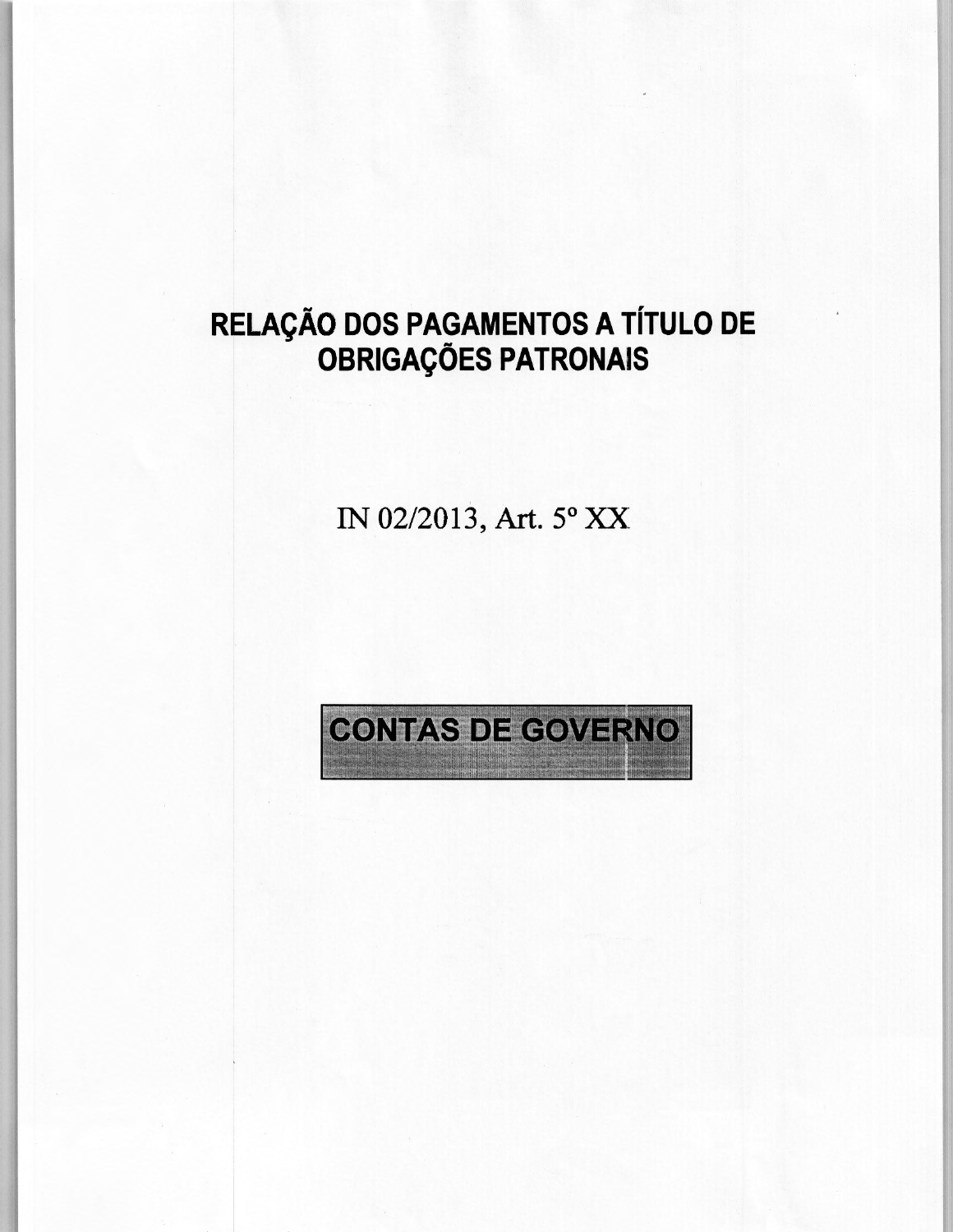# **RELAÇÃO DOS PAGAMENTOS A** TÍTULO DE **OBRIGAÇÕES PATRONAIS**

1N 02/2013, Art. 5° XX

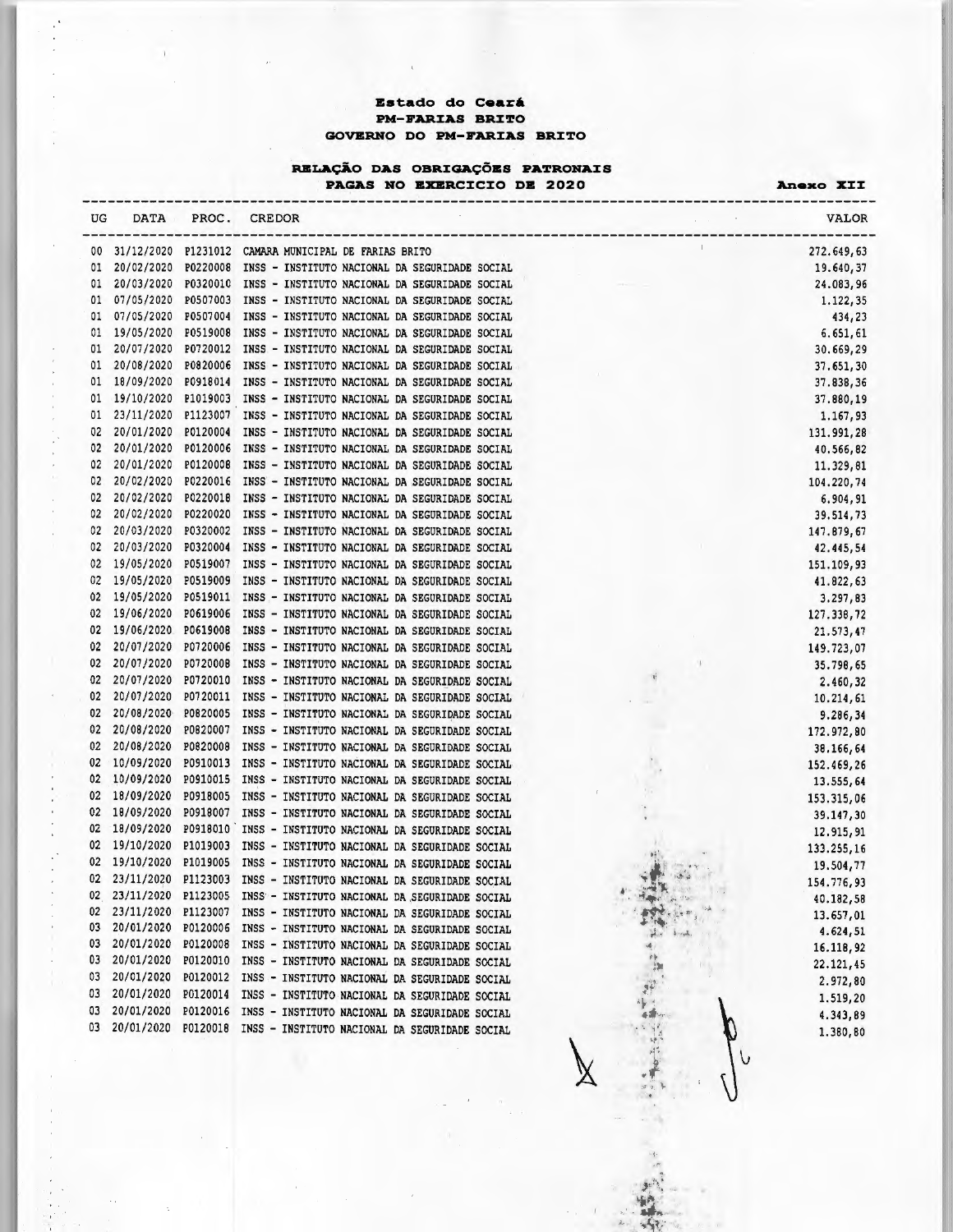## **Estado do Ceará PN-rARJ:AS BRJ:TO GOVERNO DO PM-FARIAS BRITO**

# **RBLAÇÃO DAS OBRIGAÇÕES PATRONAIS**

PAGAS NO EXERCICIO DE 2020 **Anexo XII** 

| UG       | <b>DATA</b>              | PROC.                | CREDOR                                                                                                    | VALOR        |
|----------|--------------------------|----------------------|-----------------------------------------------------------------------------------------------------------|--------------|
| 00       | 31/12/2020               |                      | $\mathbb{L}$<br>P1231012 CAMARA MUNICIPAL DE FARIAS BRITO                                                 | 272.649,63   |
| 01       | 20/02/2020               |                      | P0220008 INSS - INSTITUTO NACIONAL DA SEGURIDADE SOCIAL                                                   | 19.640,37    |
| 01       | 20/03/2020               |                      | P0320010 INSS - INSTITUTO NACIONAL DA SEGURIDADE SOCIAL                                                   | 24.083,96    |
| 01       | 07/05/2020               |                      | P0507003 INSS - INSTITUTO NACIONAL DA SEGURIDADE SOCIAL                                                   | 1.122,35     |
| 01       | 07/05/2020               |                      | P0507004 INSS - INSTITUTO NACIONAL DA SEGURIDADE SOCIAL                                                   | 434,23       |
| 01       | 19/05/2020               | P0519008             | INSS - INSTITUTO NACIONAL DA SEGURIDADE SOCIAL                                                            | 6.651, 61    |
| 01       | 20/07/2020               |                      | P0720012 INSS - INSTITUTO NACIONAL DA SEGURIDADE SOCIAL                                                   | 30.669,29    |
| 01       | 20/08/2020               | P0820006             | INSS - INSTITUTO NACIONAL DA SEGURIDADE SOCIAL                                                            | 37.651,30    |
| 01       | 18/09/2020               | P0918014             | INSS - INSTITUTO NACIONAL DA SEGURIDADE SOCIAL                                                            | 37.838,36    |
| 01       | 19/10/2020               | P1019003             | INSS - INSTITUTO NACIONAL DA SEGURIDADE SOCIAL                                                            | 37.880,19    |
| 01       | 23/11/2020               | P1123007             | INSS - INSTITUTO NACIONAL DA SEGURIDADE SOCIAL                                                            | 1.167,93     |
| 02       | 20/01/2020               | P0120004             | INSS - INSTITUTO NACIONAL DA SEGURIDADE SOCIAL                                                            | 131.991,28   |
| 02       | 20/01/2020               | P0120006             | INSS - INSTITUTO NACIONAL DA SEGURIDADE SOCIAL                                                            | 40.566,82    |
| 02       | 20/01/2020               | P0120008             | INSS - INSTITUTO NACIONAL DA SEGURIDADE SOCIAL                                                            | 11.329,81    |
| 02       | 20/02/2020               | P0220016             | INSS - INSTITUTO NACIONAL DA SEGURIDADE SOCIAL                                                            | 104.220,74   |
| 02       | 20/02/2020               | P0220018             | INSS - INSTITUTO NACIONAL DA SEGURIDADE SOCIAL                                                            | 6.904,91     |
| 02       | 20/02/2020               | P0220020             | INSS - INSTITUTO NACIONAL DA SEGURIDADE SOCIAL                                                            | 39.514,73    |
| 02       | 20/03/2020               | P0320002             | INSS - INSTITUTO NACIONAL DA SEGURIDADE SOCIAL                                                            | 147.879,67   |
| 02       | 20/03/2020               | P0320004             | INSS - INSTITUTO NACIONAL DA SEGURIDADE SOCIAL                                                            | 42.445,54    |
| 02       | 19/05/2020               | P0519007             | INSS - INSTITUTO NACIONAL DA SEGURIDADE SOCIAL                                                            | 151, 109, 93 |
| 02       | 19/05/2020               | P0519009             | INSS - INSTITUTO NACIONAL DA SEGURIDADE SOCIAL                                                            | 41.822,63    |
| 02       | 19/05/2020               | P0519011             | INSS - INSTITUTO NACIONAL DA SEGURIDADE SOCIAL                                                            | 3.297,83     |
| 02       | 19/06/2020               | P0619006             | INSS - INSTITUTO NACIONAL DA SEGURIDADE SOCIAL                                                            | 127.338,72   |
| 02       | 19/06/2020               | P0619008             | INSS - INSTITUTO NACIONAL DA SEGURIDADE SOCIAL                                                            | 21.573,47    |
| 02       | 20/07/2020               | P0720006             | INSS - INSTITUTO NACIONAL DA SEGURIDADE SOCIAL                                                            | 149.723,07   |
| 02       | 20/07/2020               | P0720008             | INSS - INSTITUTO NACIONAL DA SEGURIDADE SOCIAL<br>$\mathbf{I}$<br>$\mathcal{N}$                           | 35.798,65    |
| 02       | 20/07/2020               | P0720010             | INSS - INSTITUTO NACIONAL DA SEGURIDADE SOCIAL                                                            | 2.460,32     |
| 02       | 20/07/2020               | P0720011             | INSS - INSTITUTO NACIONAL DA SEGURIDADE SOCIAL                                                            | 10.214, 61   |
| 02       | 20/08/2020               | P0820005             | INSS - INSTITUTO NACIONAL DA SEGURIDADE SOCIAL                                                            | 9.286,34     |
| 02       | 20/08/2020               | P0820007             | INSS - INSTITUTO NACIONAL DA SEGURIDADE SOCIAL                                                            | 172.972,80   |
| 02       | 20/08/2020               | P0820008             | INSS - INSTITUTO NACIONAL DA SEGURIDADE SOCIAL                                                            | 38.166,64    |
| 02       | 10/09/2020               | P0910013             | INSS - INSTITUTO NACIONAL DA SEGURIDADE SOCIAL                                                            | 152.469,26   |
| 02       | 10/09/2020<br>18/09/2020 | P0910015             | INSS - INSTITUTO NACIONAL DA SEGURIDADE SOCIAL                                                            | 13.555,64    |
| 02       |                          | P0918005<br>P0918007 | INSS - INSTITUTO NACIONAL DA SEGURIDADE SOCIAL                                                            | 153.315,06   |
| 02       | 18/09/2020               |                      | INSS - INSTITUTO NACIONAL DA SEGURIDADE SOCIAL                                                            | 39.147,30    |
| 02<br>02 | 18/09/2020               | P0918010             | INSS - INSTITUTO NACIONAL DA SEGURIDADE SOCIAL<br>$\Lambda$                                               | 12.915,91    |
| 02       | 19/10/2020               | P1019003             | INSS - INSTITUTO NACIONAL DA SEGURIDADE SOCIAL                                                            | 133.255,16   |
| 02       | 19/10/2020<br>23/11/2020 | P1019005             | INSS - INSTITUTO NACIONAL DA SEGURIDADE SOCIAL                                                            | 19.504,77    |
|          | 23/11/2020               | P1123003             | INSS - INSTITUTO NACIONAL DA SEGURIDADE SOCIAL                                                            | 154.776.93   |
| 02<br>02 | 23/11/2020               | P1123005<br>P1123007 | INSS - INSTITUTO NACIONAL DA SEGURIDADE SOCIAL                                                            | 40.182,58    |
| 03       | 20/01/2020               |                      | INSS - INSTITUTO NACIONAL DA SEGURIDADE SOCIAL<br>P0120006 INSS - INSTITUTO NACIONAL DA SEGURIDADE SOCIAL | 13.657,01    |
| 03       | 20/01/2020               |                      | P0120008 INSS - INSTITUTO NACIONAL DA SEGURIDADE SOCIAL                                                   | 4.624,51     |
| 03       | 20/01/2020               |                      | P0120010 INSS - INSTITUTO NACIONAL DA SEGURIDADE SOCIAL                                                   | 16.118,92    |
| 03       | 20/01/2020               |                      | P0120012 INSS - INSTITUTO NACIONAL DA SEGURIDADE SOCIAL                                                   | 22.121,45    |
| 03       | 20/01/2020               | P0120014             | INSS - INSTITUTO NACIONAL DA SEGURIDADE SOCIAL                                                            | 2.972,80     |
| 03       | 20/01/2020               | P0120016             | INSS - INSTITUTO NACIONAL DA SEGURIDADE SOCIAL                                                            | 1.519,20     |
| 03       | 20/01/2020               | P0120018             | INSS - INSTITUTO NACIONAL DA SEGURIDADE SOCIAL                                                            | 4.343,89     |
|          |                          |                      |                                                                                                           | 1.380,80     |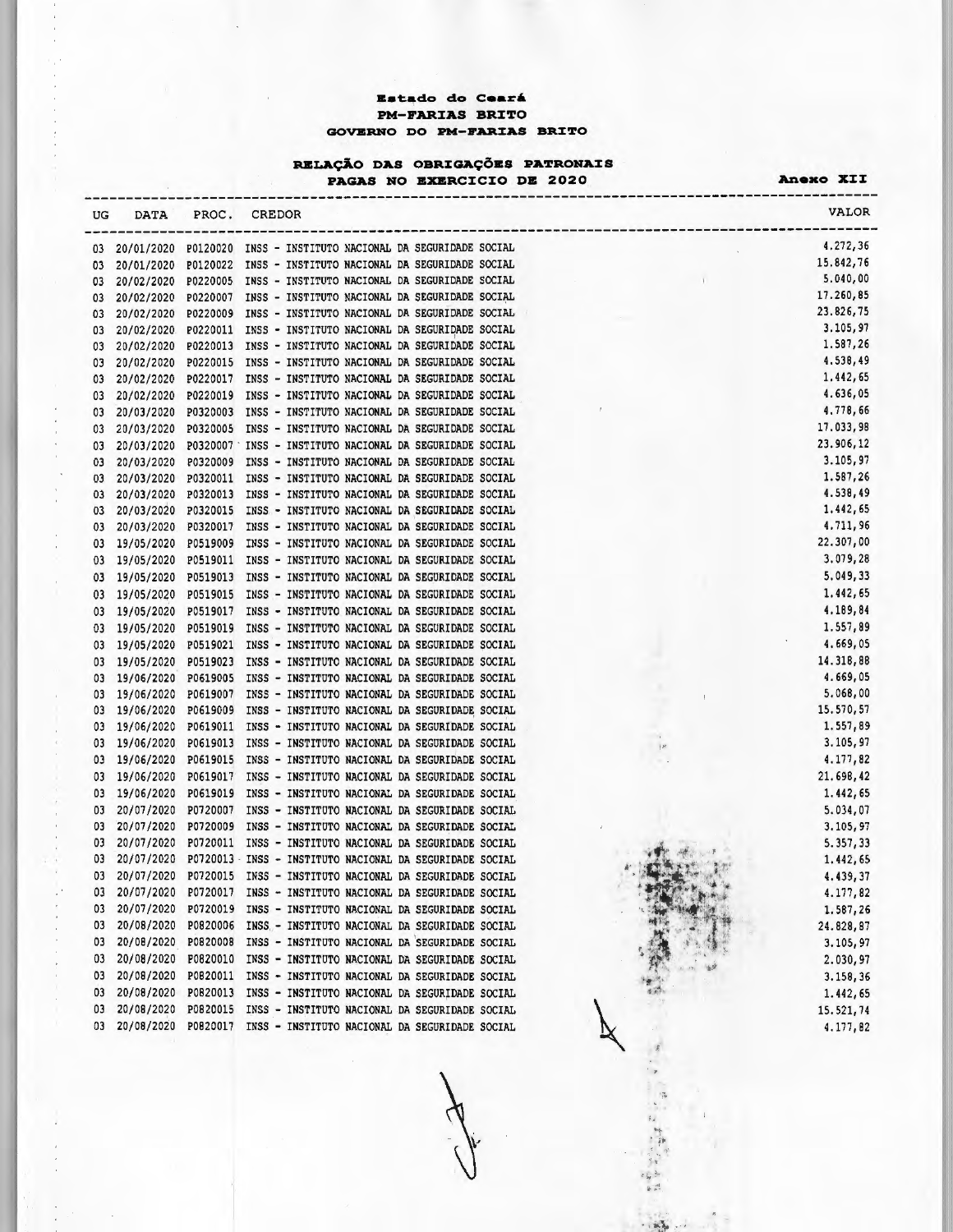### tado **do Ceará PM-FARIAS BRITO GOVERNO DO PM-FARIAS BRITO**

#### RELAÇÃO DAS OBRIGAÇÕES PATRONAIS

**PAGAS NO EXERCICIO DE 2020 Anexo XII** 

| UG | DATA       | PROC.    | CREDOR                                                             |   | <b>VALOR</b> |
|----|------------|----------|--------------------------------------------------------------------|---|--------------|
| 03 |            |          | 20/01/2020 P0120020 INSS - INSTITUTO NACIONAL DA SEGURIDADE SOCIAL |   | 4.272,36     |
| 03 | 20/01/2020 |          | P0120022 INSS - INSTITUTO NACIONAL DA SEGURIDADE SOCIAL            |   | 15.842.76    |
| 03 | 20/02/2020 | P0220005 | INSS - INSTITUTO NACIONAL DA SEGURIDADE SOCIAL                     |   | 5.040,00     |
| 03 | 20/02/2020 |          | P0220007 INSS - INSTITUTO NACIONAL DA SEGURIDADE SOCIAL            |   | 17.260,85    |
| 03 | 20/02/2020 |          | P0220009 INSS - INSTITUTO NACIONAL DA SEGURIDADE SOCIAL            |   | 23.826,75    |
| 03 | 20/02/2020 |          | P0220011 INSS - INSTITUTO NACIONAL DA SEGURIDADE SOCIAL            |   | 3.105,97     |
| 03 | 20/02/2020 | P0220013 | INSS - INSTITUTO NACIONAL DA SEGURIDADE SOCIAL                     |   | 1.587,26     |
| 03 | 20/02/2020 |          | P0220015 INSS - INSTITUTO NACIONAL DA SEGURIDADE SOCIAL            |   | 4.538,49     |
| 03 | 20/02/2020 | P0220017 | INSS - INSTITUTO NACIONAL DA SEGURIDADE SOCIAL                     |   | 1.442,65     |
| 03 | 20/02/2020 | P0220019 | INSS - INSTITUTO NACIONAL DA SEGURIDADE SOCIAL                     |   | 4.636,05     |
| 03 | 20/03/2020 | P0320003 | INSS - INSTITUTO NACIONAL DA SEGURIDADE SOCIAL                     |   | 4.778,66     |
| 03 | 20/03/2020 | P0320005 | INSS - INSTITUTO NACIONAL DA SEGURIDADE SOCIAL                     |   | 17.033.98    |
| 03 | 20/03/2020 |          | P0320007 \ INSS - INSTITUTO NACIONAL DA SEGURIDADE SOCIAL          |   | 23.906,12    |
| 03 | 20/03/2020 | P0320009 | INSS - INSTITUTO NACIONAL DA SEGURIDADE SOCIAL                     |   | 3.105,97     |
| 03 | 20/03/2020 |          | P0320011 INSS - INSTITUTO NACIONAL DA SEGURIDADE SOCIAL            |   | 1.587,26     |
| 03 | 20/03/2020 |          | P0320013 INSS - INSTITUTO NACIONAL DA SEGURIDADE SOCIAL            |   | 4.538,49     |
| 03 | 20/03/2020 |          | P0320015 INSS - INSTITUTO NACIONAL DA SEGURIDADE SOCIAL            |   | 1.442,65     |
| 03 | 20/03/2020 | P0320017 | INSS - INSTITUTO NACIONAL DA SEGURIDADE SOCIAL                     |   | 4.711,96     |
| 03 | 19/05/2020 | P0519009 | INSS - INSTITUTO NACIONAL DA SEGURIDADE SOCIAL                     |   | 22.307,00    |
| 03 | 19/05/2020 | P0519011 | INSS - INSTITUTO NACIONAL DA SEGURIDADE SOCIAL                     |   | 3.079,28     |
| 03 | 19/05/2020 | P0519013 | INSS - INSTITUTO NACIONAL DA SEGURIDADE SOCIAL                     |   | 5.049,33     |
| 03 | 19/05/2020 | P0519015 | INSS - INSTITUTO NACIONAL DA SEGURIDADE SOCIAL                     |   | 1.442,65     |
| 03 | 19/05/2020 | P0519017 | INSS - INSTITUTO NACIONAL DA SEGURIDADE SOCIAL                     |   | 4.189,84     |
| 03 | 19/05/2020 | P0519019 | INSS - INSTITUTO NACIONAL DA SEGURIDADE SOCIAL                     |   | 1.557,89     |
| 03 | 19/05/2020 | P0519021 | INSS - INSTITUTO NACIONAL DA SEGURIDADE SOCIAL                     |   | 4.669,05     |
| 03 | 19/05/2020 |          | P0519023 INSS - INSTITUTO NACIONAL DA SEGURIDADE SOCIAL            |   | 14.318,88    |
| 03 | 19/06/2020 |          | P0619005 INSS - INSTITUTO NACIONAL DA SEGURIDADE SOCIAL            |   | 4.669,05     |
| 03 | 19/06/2020 |          | P0619007 INSS - INSTITUTO NACIONAL DA SEGURIDADE SOCIAL            |   | 5.068,00     |
| 03 | 19/06/2020 |          | P0619009 INSS - INSTITUTO NACIONAL DA SEGURIDADE SOCIAL            |   | 15.570,57    |
| 03 | 19/06/2020 |          | P0619011 INSS - INSTITUTO NACIONAL DA SEGURIDADE SOCIAL            |   | 1.557,89     |
| 03 | 19/06/2020 | P0619013 | INSS - INSTITUTO NACIONAL DA SEGURIDADE SOCIAL                     | F | 3.105,97     |
| 03 | 19/06/2020 | P0619015 | INSS - INSTITUTO NACIONAL DA SEGURIDADE SOCIAL                     |   | 4.177,82     |
| 03 | 19/06/2020 | P0619017 | INSS - INSTITUTO NACIONAL DA SEGURIDADE SOCIAL                     |   | 21.698,42    |
| 03 | 19/06/2020 |          | P0619019 INSS - INSTITUTO NACIONAL DA SEGURIDADE SOCIAL            |   | 1.442,65     |
| 03 | 20/07/2020 | P0720007 | INSS - INSTITUTO NACIONAL DA SEGURIDADE SOCIAL                     |   | 5.034.07     |
| 03 | 20/07/2020 | P0720009 | INSS - INSTITUTO NACIONAL DA SEGURIDADE SOCIAL                     |   | 3.105,97     |
| 03 | 20/07/2020 |          | P0720011 INSS - INSTITUTO NACIONAL DA SEGURIDADE SOCIAL            |   | 5.357,33     |
| 03 | 20/07/2020 |          | P0720013 - INSS - INSTITUTO NACIONAL DA SEGURIDADE SOCIAL          |   | 1.442.65     |
| 03 |            |          | 20/07/2020 P0720015 INSS - INSTITUTO NACIONAL DA SEGURIDADE SOCIAL |   | 4.439,37     |
| 03 | 20/07/2020 |          | P0720017 INSS - INSTITUTO NACIONAL DA SEGURIDADE SOCIAL            |   | 4.177,82     |
| 03 | 20/07/2020 |          | P0720019 INSS - INSTITUTO NACIONAL DA SEGURIDADE SOCIAL            |   | 1.587,26     |
| 03 | 20/08/2020 |          | P0820006 INSS - INSTITUTO NACIONAL DA SEGURIDADE SOCIAL            |   | 24.828,87    |
| 03 | 20/08/2020 |          | P0820008 INSS - INSTITUTO NACIONAL DA SEGURIDADE SOCIAL            |   | 3.105,97     |
| 03 | 20/08/2020 |          | P0820010 INSS - INSTITUTO NACIONAL DA SEGURIDADE SOCIAL            |   | 2.030,97     |
| 03 | 20/08/2020 | P0820011 | INSS - INSTITUTO NACIONAL DA SEGURIDADE SOCIAL                     |   | 3.158,36     |
| 03 | 20/08/2020 | P0820013 | INSS - INSTITUTO NACIONAL DA SEGURIDADE SOCIAL                     |   | 1.442.65     |
| 03 | 20/08/2020 | P0820015 | INSS - INSTITUTO NACIONAL DA SEGURIDADE SOCIAL                     |   | 15.521.74    |
| 03 | 20/08/2020 |          | P0820017 INSS - INSTITUTO NACIONAL DA SEGURIDADE SOCIAL            |   | 4.177,82     |
|    |            |          |                                                                    |   |              |
|    |            |          |                                                                    |   |              |

 $\frac{1}{2}$ 

 $\sum_{i=1}^{n}$